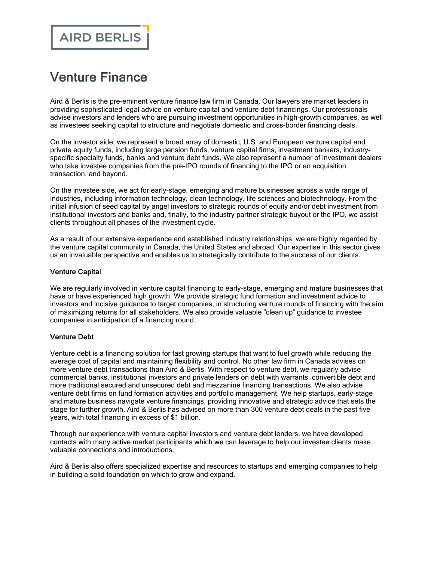# Venture Finance

Aird & Berlis is the pre-eminent venture finance law firm in Canada. Our lawyers are market leaders in providing sophisticated legal advice on venture capital and venture debt financings. Our professionals advise investors and lenders who are pursuing investment opportunities in high-growth companies, as well as investees seeking capital to structure and negotiate domestic and cross-border financing deals.

On the investor side, we represent a broad array of domestic, U.S. and European venture capital and private equity funds, including large pension funds, venture capital firms, investment bankers, industryspecific specialty funds, banks and venture debt funds. We also represent a number of investment dealers who take investee companies from the pre-IPO rounds of financing to the IPO or an acquisition transaction, and beyond.

On the investee side, we act for early-stage, emerging and mature businesses across a wide range of industries, including information technology, clean technology, life sciences and biotechnology. From the initial infusion of seed capital by angel investors to strategic rounds of equity and/or debt investment from institutional investors and banks and, finally, to the industry partner strategic buyout or the IPO, we assist clients throughout all phases of the investment cycle.

As a result of our extensive experience and established industry relationships, we are highly regarded by the venture capital community in Canada, the United States and abroad. Our expertise in this sector gives us an invaluable perspective and enables us to strategically contribute to the success of our clients.

#### Venture Capital

We are regularly involved in venture capital financing to early-stage, emerging and mature businesses that have or have experienced high growth. We provide strategic fund formation and investment advice to investors and incisive guidance to target companies, in structuring venture rounds of financing with the aim of maximizing returns for all stakeholders. We also provide valuable "clean up" guidance to investee companies in anticipation of a financing round.

#### Venture Debt

Venture debt is a financing solution for fast growing startups that want to fuel growth while reducing the average cost of capital and maintaining flexibility and control. No other law firm in Canada advises on more venture debt transactions than Aird & Berlis. With respect to venture debt, we regularly advise commercial banks, institutional investors and private lenders on debt with warrants, convertible debt and more traditional secured and unsecured debt and mezzanine financing transactions. We also advise venture debt firms on fund formation activities and portfolio management. We help startups, early-stage and mature business navigate venture financings, providing innovative and strategic advice that sets the stage for further growth. Aird & Berlis has advised on more than 300 venture debt deals in the past five years, with total financing in excess of \$1 billion.

Through our experience with venture capital investors and venture debt lenders, we have developed contacts with many active market participants which we can leverage to help our investee clients make valuable connections and introductions.

Aird & Berlis also offers specialized expertise and resources to startups and emerging companies to help in building a solid foundation on which to grow and expand.